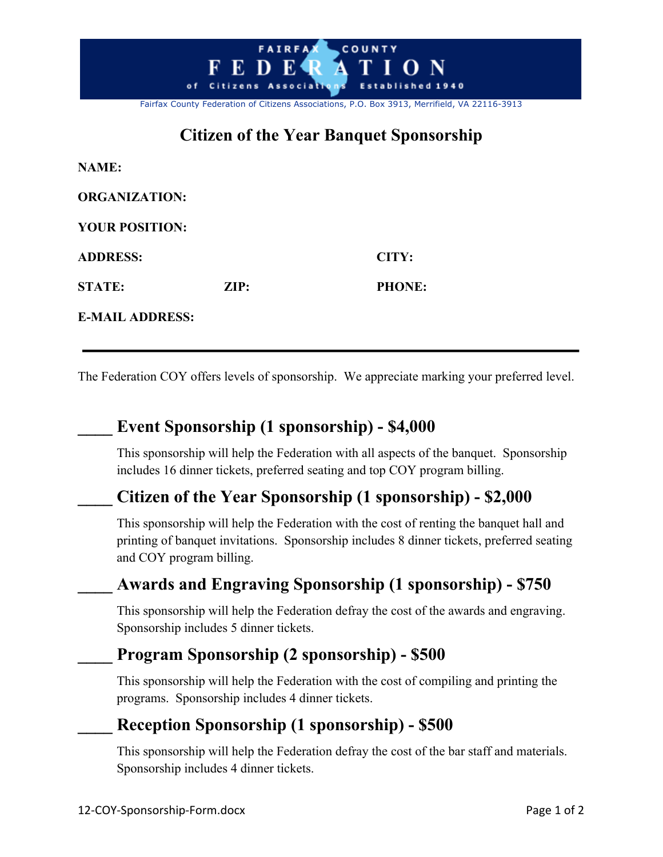

# **Citizen of the Year Banquet Sponsorship**

| <b>NAME:</b>           |                 |               |
|------------------------|-----------------|---------------|
| <b>ORGANIZATION:</b>   |                 |               |
| <b>YOUR POSITION:</b>  |                 |               |
| <b>ADDRESS:</b>        |                 | CITY:         |
| <b>STATE:</b>          | $\mathbf{ZIP:}$ | <b>PHONE:</b> |
| <b>E-MAIL ADDRESS:</b> |                 |               |

The Federation COY offers levels of sponsorship. We appreciate marking your preferred level.

## **\_\_\_\_ Event Sponsorship (1 sponsorship) - \$4,000**

This sponsorship will help the Federation with all aspects of the banquet. Sponsorship includes 16 dinner tickets, preferred seating and top COY program billing.

## **\_\_\_\_ Citizen of the Year Sponsorship (1 sponsorship) - \$2,000**

This sponsorship will help the Federation with the cost of renting the banquet hall and printing of banquet invitations. Sponsorship includes 8 dinner tickets, preferred seating and COY program billing.

## **\_\_\_\_ Awards and Engraving Sponsorship (1 sponsorship) - \$750**

This sponsorship will help the Federation defray the cost of the awards and engraving. Sponsorship includes 5 dinner tickets.

## **\_\_\_\_ Program Sponsorship (2 sponsorship) - \$500**

This sponsorship will help the Federation with the cost of compiling and printing the programs. Sponsorship includes 4 dinner tickets.

## **\_\_\_\_ Reception Sponsorship (1 sponsorship) - \$500**

This sponsorship will help the Federation defray the cost of the bar staff and materials. Sponsorship includes 4 dinner tickets.